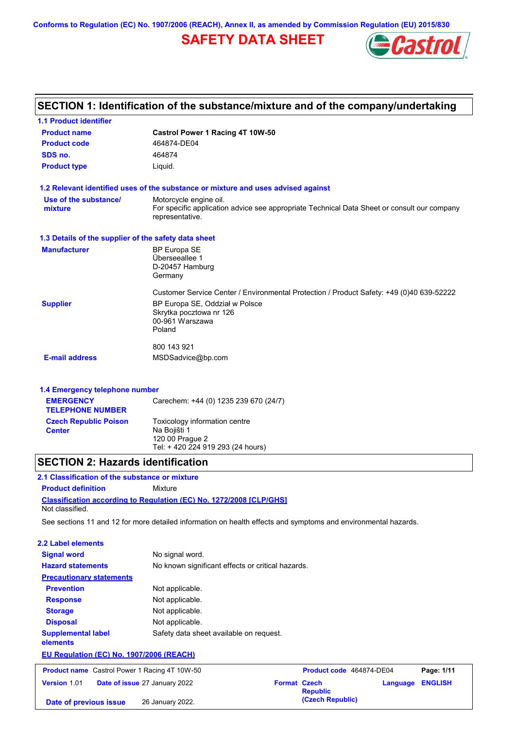**Conforms to Regulation (EC) No. 1907/2006 (REACH), Annex II, as amended by Commission Regulation (EU) 2015/830**

# **SAFETY DATA SHEET**



| <b>1.1 Product identifier</b>                        |                                                                                                                                          |
|------------------------------------------------------|------------------------------------------------------------------------------------------------------------------------------------------|
| <b>Product name</b>                                  | Castrol Power 1 Racing 4T 10W-50                                                                                                         |
| <b>Product code</b>                                  | 464874-DE04                                                                                                                              |
| SDS no.                                              | 464874                                                                                                                                   |
| <b>Product type</b>                                  | Liquid.                                                                                                                                  |
|                                                      | 1.2 Relevant identified uses of the substance or mixture and uses advised against                                                        |
| Use of the substance/<br>mixture                     | Motorcycle engine oil.<br>For specific application advice see appropriate Technical Data Sheet or consult our company<br>representative. |
| 1.3 Details of the supplier of the safety data sheet |                                                                                                                                          |
| <b>Manufacturer</b>                                  | <b>BP Europa SE</b><br>Überseeallee 1<br>D-20457 Hamburg<br>Germany                                                                      |
|                                                      | Customer Service Center / Environmental Protection / Product Safety: +49 (0)40 639-52222                                                 |
| <b>Supplier</b>                                      | BP Europa SE, Oddział w Polsce<br>Skrytka pocztowa nr 126<br>00-961 Warszawa<br>Poland                                                   |
|                                                      | 800 143 921                                                                                                                              |
| <b>E-mail address</b>                                | MSDSadvice@bp.com                                                                                                                        |
|                                                      |                                                                                                                                          |
| 1.4 Emergency telephone number<br><b>EMERGENCY</b>   |                                                                                                                                          |
|                                                      | Carechem: +44 (0) 1235 239 670 (24/7)                                                                                                    |

| ----------<br><b>TELEPHONE NUMBER</b>         | $\frac{1}{2}$ of the time $\frac{1}{2}$ is the set of $\frac{1}{2}$ of $\frac{1}{2}$ of $\frac{1}{2}$ |
|-----------------------------------------------|-------------------------------------------------------------------------------------------------------|
| <b>Czech Republic Poison</b><br><b>Center</b> | Toxicology information centre<br>Na Bojišti 1<br>120 00 Prague 2<br>Tel: +420 224 919 293 (24 hours)  |

# **SECTION 2: Hazards identification**

### **Classification according to Regulation (EC) No. 1272/2008 [CLP/GHS] 2.1 Classification of the substance or mixture Product definition** Mixture Not classified.

See sections 11 and 12 for more detailed information on health effects and symptoms and environmental hazards.

| <b>2.2 Label elements</b>                            |                                                   |                                        |          |                |
|------------------------------------------------------|---------------------------------------------------|----------------------------------------|----------|----------------|
| <b>Signal word</b>                                   | No signal word.                                   |                                        |          |                |
| <b>Hazard statements</b>                             | No known significant effects or critical hazards. |                                        |          |                |
| <b>Precautionary statements</b>                      |                                                   |                                        |          |                |
| <b>Prevention</b>                                    | Not applicable.                                   |                                        |          |                |
| <b>Response</b>                                      | Not applicable.                                   |                                        |          |                |
| <b>Storage</b>                                       | Not applicable.                                   |                                        |          |                |
| <b>Disposal</b>                                      | Not applicable.                                   |                                        |          |                |
| <b>Supplemental label</b><br>elements                | Safety data sheet available on request.           |                                        |          |                |
| EU Regulation (EC) No. 1907/2006 (REACH)             |                                                   |                                        |          |                |
| <b>Product name</b> Castrol Power 1 Racing 4T 10W-50 |                                                   | Product code 464874-DE04               |          | Page: 1/11     |
| <b>Version 1.01</b>                                  | Date of issue 27 January 2022                     | <b>Format Czech</b><br><b>Republic</b> | Language | <b>ENGLISH</b> |
| Date of previous issue                               | 26 January 2022.                                  | (Czech Republic)                       |          |                |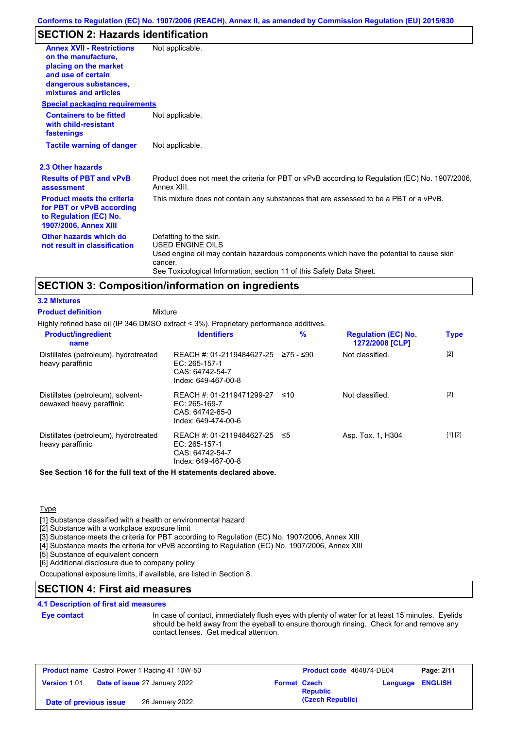# **SECTION 2: Hazards identification**

| <b>Annex XVII - Restrictions</b><br>on the manufacture.<br>placing on the market<br>and use of certain<br>dangerous substances,<br>mixtures and articles | Not applicable.                                                                                                                                                                                                                 |
|----------------------------------------------------------------------------------------------------------------------------------------------------------|---------------------------------------------------------------------------------------------------------------------------------------------------------------------------------------------------------------------------------|
| <b>Special packaging requirements</b>                                                                                                                    |                                                                                                                                                                                                                                 |
| <b>Containers to be fitted</b><br>with child-resistant<br>fastenings                                                                                     | Not applicable.                                                                                                                                                                                                                 |
| <b>Tactile warning of danger</b>                                                                                                                         | Not applicable.                                                                                                                                                                                                                 |
| 2.3 Other hazards                                                                                                                                        |                                                                                                                                                                                                                                 |
| <b>Results of PBT and vPvB</b><br>assessment                                                                                                             | Product does not meet the criteria for PBT or vPvB according to Regulation (EC) No. 1907/2006,<br>Annex XIII.                                                                                                                   |
| <b>Product meets the criteria</b><br>for PBT or vPvB according<br>to Regulation (EC) No.<br>1907/2006, Annex XIII                                        | This mixture does not contain any substances that are assessed to be a PBT or a vPvB.                                                                                                                                           |
| Other hazards which do<br>not result in classification                                                                                                   | Defatting to the skin.<br><b>USED ENGINE OILS</b><br>Used engine oil may contain hazardous components which have the potential to cause skin<br>cancer.<br>See Toxicological Information, section 11 of this Safety Data Sheet. |

# **SECTION 3: Composition/information on ingredients**

**Mixture** 

### **3.2 Mixtures**

**Product definition**

Highly refined base oil (IP 346 DMSO extract < 3%). Proprietary performance additives.

| <b>Product/ingredient</b><br>name                             | <b>Identifiers</b>                                                                     | $\%$      | <b>Regulation (EC) No.</b><br>1272/2008 [CLP] | <b>Type</b> |
|---------------------------------------------------------------|----------------------------------------------------------------------------------------|-----------|-----------------------------------------------|-------------|
| Distillates (petroleum), hydrotreated<br>heavy paraffinic     | REACH #: 01-2119484627-25<br>EC: $265-157-1$<br>CAS: 64742-54-7<br>Index: 649-467-00-8 | 275 - ≤90 | Not classified.                               | $[2]$       |
| Distillates (petroleum), solvent-<br>dewaxed heavy paraffinic | REACH #: 01-2119471299-27<br>EC: $265-169-7$<br>CAS: 64742-65-0<br>Index: 649-474-00-6 | ≤10       | Not classified.                               | $[2]$       |
| Distillates (petroleum), hydrotreated<br>heavy paraffinic     | REACH #: 01-2119484627-25<br>EC: 265-157-1<br>CAS: 64742-54-7<br>Index: 649-467-00-8   | ≤5        | Asp. Tox. 1, H304                             | [1] [2]     |

**See Section 16 for the full text of the H statements declared above.**

**Type** 

[1] Substance classified with a health or environmental hazard

[2] Substance with a workplace exposure limit

[3] Substance meets the criteria for PBT according to Regulation (EC) No. 1907/2006, Annex XIII

[4] Substance meets the criteria for vPvB according to Regulation (EC) No. 1907/2006, Annex XIII

[5] Substance of equivalent concern

[6] Additional disclosure due to company policy

Occupational exposure limits, if available, are listed in Section 8.

# **SECTION 4: First aid measures**

### **4.1 Description of first aid measures**

### **Eye contact**

In case of contact, immediately flush eyes with plenty of water for at least 15 minutes. Eyelids should be held away from the eyeball to ensure thorough rinsing. Check for and remove any contact lenses. Get medical attention.

| <b>Product name</b> Castrol Power 1 Racing 4T 10W-50 |                                      | Product code 464874-DE04 |                  | Page: 2/11       |  |
|------------------------------------------------------|--------------------------------------|--------------------------|------------------|------------------|--|
| <b>Version 1.01</b>                                  | <b>Date of issue 27 January 2022</b> | <b>Format Czech</b>      | <b>Republic</b>  | Language ENGLISH |  |
| Date of previous issue                               | 26 January 2022.                     |                          | (Czech Republic) |                  |  |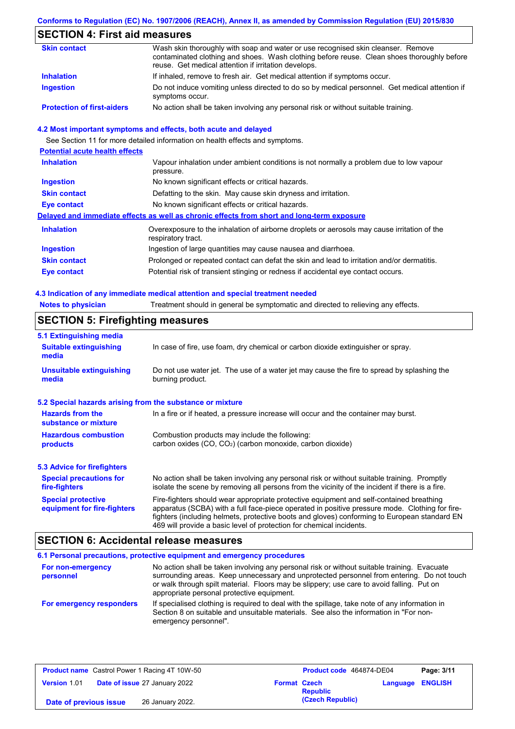## **Conforms to Regulation (EC) No. 1907/2006 (REACH), Annex II, as amended by Commission Regulation (EU) 2015/830**

# **SECTION 4: First aid measures**

| <b>Skin contact</b>               | Wash skin thoroughly with soap and water or use recognised skin cleanser. Remove<br>contaminated clothing and shoes. Wash clothing before reuse. Clean shoes thoroughly before<br>reuse. Get medical attention if irritation develops. |
|-----------------------------------|----------------------------------------------------------------------------------------------------------------------------------------------------------------------------------------------------------------------------------------|
| <b>Inhalation</b>                 | If inhaled, remove to fresh air. Get medical attention if symptoms occur.                                                                                                                                                              |
| <b>Ingestion</b>                  | Do not induce vomiting unless directed to do so by medical personnel. Get medical attention if<br>symptoms occur.                                                                                                                      |
| <b>Protection of first-aiders</b> | No action shall be taken involving any personal risk or without suitable training.                                                                                                                                                     |

### **4.2 Most important symptoms and effects, both acute and delayed**

See Section 11 for more detailed information on health effects and symptoms.

| <b>Potential acute health effects</b> |                                                                                                                   |
|---------------------------------------|-------------------------------------------------------------------------------------------------------------------|
| <b>Inhalation</b>                     | Vapour inhalation under ambient conditions is not normally a problem due to low vapour<br>pressure.               |
| <b>Ingestion</b>                      | No known significant effects or critical hazards.                                                                 |
| <b>Skin contact</b>                   | Defatting to the skin. May cause skin dryness and irritation.                                                     |
| Eye contact                           | No known significant effects or critical hazards.                                                                 |
|                                       | Delayed and immediate effects as well as chronic effects from short and long-term exposure                        |
| <b>Inhalation</b>                     | Overexposure to the inhalation of airborne droplets or aerosols may cause irritation of the<br>respiratory tract. |
| <b>Ingestion</b>                      | Ingestion of large quantities may cause nausea and diarrhoea.                                                     |
| <b>Skin contact</b>                   | Prolonged or repeated contact can defat the skin and lead to irritation and/or dermatitis.                        |
| <b>Eye contact</b>                    | Potential risk of transient stinging or redness if accidental eye contact occurs.                                 |

### **4.3 Indication of any immediate medical attention and special treatment needed**

| <b>CECTION E. Eirofiabting moneures</b>                                                                        |  |
|----------------------------------------------------------------------------------------------------------------|--|
| <b>Notes to physician</b><br>Treatment should in general be symptomatic and directed to relieving any effects. |  |

# **SECTION 5: Firefighting measures**

| 5.1 Extinguishing media                                   |                                                                                                                                                                                                                                                                                                                                                                   |
|-----------------------------------------------------------|-------------------------------------------------------------------------------------------------------------------------------------------------------------------------------------------------------------------------------------------------------------------------------------------------------------------------------------------------------------------|
| <b>Suitable extinguishing</b><br>media                    | In case of fire, use foam, dry chemical or carbon dioxide extinguisher or spray.                                                                                                                                                                                                                                                                                  |
| <b>Unsuitable extinguishing</b><br>media                  | Do not use water jet. The use of a water jet may cause the fire to spread by splashing the<br>burning product.                                                                                                                                                                                                                                                    |
| 5.2 Special hazards arising from the substance or mixture |                                                                                                                                                                                                                                                                                                                                                                   |
| <b>Hazards from the</b><br>substance or mixture           | In a fire or if heated, a pressure increase will occur and the container may burst.                                                                                                                                                                                                                                                                               |
| <b>Hazardous combustion</b><br>products                   | Combustion products may include the following:<br>carbon oxides $(CO, CO2)$ (carbon monoxide, carbon dioxide)                                                                                                                                                                                                                                                     |
| 5.3 Advice for firefighters                               |                                                                                                                                                                                                                                                                                                                                                                   |
| <b>Special precautions for</b><br>fire-fighters           | No action shall be taken involving any personal risk or without suitable training. Promptly<br>isolate the scene by removing all persons from the vicinity of the incident if there is a fire.                                                                                                                                                                    |
| <b>Special protective</b><br>equipment for fire-fighters  | Fire-fighters should wear appropriate protective equipment and self-contained breathing<br>apparatus (SCBA) with a full face-piece operated in positive pressure mode. Clothing for fire-<br>fighters (including helmets, protective boots and gloves) conforming to European standard EN<br>469 will provide a basic level of protection for chemical incidents. |

## **SECTION 6: Accidental release measures**

|                                | 6.1 Personal precautions, protective equipment and emergency procedures                                                                                                                                                                                                                                                             |
|--------------------------------|-------------------------------------------------------------------------------------------------------------------------------------------------------------------------------------------------------------------------------------------------------------------------------------------------------------------------------------|
| For non-emergency<br>personnel | No action shall be taken involving any personal risk or without suitable training. Evacuate<br>surrounding areas. Keep unnecessary and unprotected personnel from entering. Do not touch<br>or walk through spilt material. Floors may be slippery; use care to avoid falling. Put on<br>appropriate personal protective equipment. |
| For emergency responders       | If specialised clothing is required to deal with the spillage, take note of any information in<br>Section 8 on suitable and unsuitable materials. See also the information in "For non-<br>emergency personnel".                                                                                                                    |

| <b>Product name</b> Castrol Power 1 Racing 4T 10W-50 |                                      | <b>Product code</b> 464874-DE04 |                  | Page: 3/11       |  |
|------------------------------------------------------|--------------------------------------|---------------------------------|------------------|------------------|--|
| Version 1.01                                         | <b>Date of issue 27 January 2022</b> | <b>Format Czech</b>             | <b>Republic</b>  | Language ENGLISH |  |
| Date of previous issue                               | 26 January 2022.                     |                                 | (Czech Republic) |                  |  |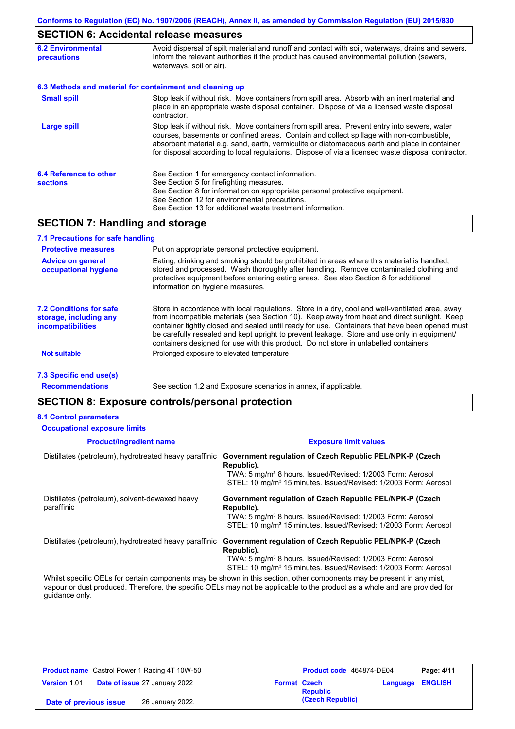# **SECTION 6: Accidental release measures**

| <b>6.2 Environmental</b><br>precautions   | Avoid dispersal of spilt material and runoff and contact with soil, waterways, drains and sewers.<br>Inform the relevant authorities if the product has caused environmental pollution (sewers,<br>waterways, soil or air).                                                                                                                                                                    |
|-------------------------------------------|------------------------------------------------------------------------------------------------------------------------------------------------------------------------------------------------------------------------------------------------------------------------------------------------------------------------------------------------------------------------------------------------|
|                                           | 6.3 Methods and material for containment and cleaning up                                                                                                                                                                                                                                                                                                                                       |
| <b>Small spill</b>                        | Stop leak if without risk. Move containers from spill area. Absorb with an inert material and<br>place in an appropriate waste disposal container. Dispose of via a licensed waste disposal<br>contractor.                                                                                                                                                                                     |
| <b>Large spill</b>                        | Stop leak if without risk. Move containers from spill area. Prevent entry into sewers, water<br>courses, basements or confined areas. Contain and collect spillage with non-combustible,<br>absorbent material e.g. sand, earth, vermiculite or diatomaceous earth and place in container<br>for disposal according to local regulations. Dispose of via a licensed waste disposal contractor. |
| 6.4 Reference to other<br><b>sections</b> | See Section 1 for emergency contact information.<br>See Section 5 for firefighting measures.<br>See Section 8 for information on appropriate personal protective equipment.<br>See Section 12 for environmental precautions.<br>See Section 13 for additional waste treatment information.                                                                                                     |

# **SECTION 7: Handling and storage**

| 7.1 Precautions for safe handling                                             |                                                                                                                                                                                                                                                                                                                                                                                                                                                                                          |
|-------------------------------------------------------------------------------|------------------------------------------------------------------------------------------------------------------------------------------------------------------------------------------------------------------------------------------------------------------------------------------------------------------------------------------------------------------------------------------------------------------------------------------------------------------------------------------|
| <b>Protective measures</b>                                                    | Put on appropriate personal protective equipment.                                                                                                                                                                                                                                                                                                                                                                                                                                        |
| <b>Advice on general</b><br>occupational hygiene                              | Eating, drinking and smoking should be prohibited in areas where this material is handled,<br>stored and processed. Wash thoroughly after handling. Remove contaminated clothing and<br>protective equipment before entering eating areas. See also Section 8 for additional<br>information on hygiene measures.                                                                                                                                                                         |
| <b>7.2 Conditions for safe</b><br>storage, including any<br>incompatibilities | Store in accordance with local requlations. Store in a dry, cool and well-ventilated area, away<br>from incompatible materials (see Section 10). Keep away from heat and direct sunlight. Keep<br>container tightly closed and sealed until ready for use. Containers that have been opened must<br>be carefully resealed and kept upright to prevent leakage. Store and use only in equipment/<br>containers designed for use with this product. Do not store in unlabelled containers. |
| <b>Not suitable</b>                                                           | Prolonged exposure to elevated temperature                                                                                                                                                                                                                                                                                                                                                                                                                                               |
| 7.3 Specific end use(s)                                                       |                                                                                                                                                                                                                                                                                                                                                                                                                                                                                          |

**Recommendations**

See section 1.2 and Exposure scenarios in annex, if applicable.

## **SECTION 8: Exposure controls/personal protection**

### **8.1 Control parameters**

| <b>Occupational exposure limits</b>                          |                                                                                                                                                                                                                                 |
|--------------------------------------------------------------|---------------------------------------------------------------------------------------------------------------------------------------------------------------------------------------------------------------------------------|
| <b>Product/ingredient name</b>                               | <b>Exposure limit values</b>                                                                                                                                                                                                    |
| Distillates (petroleum), hydrotreated heavy paraffinic       | Government regulation of Czech Republic PEL/NPK-P (Czech<br>Republic).<br>TWA: 5 mg/m <sup>3</sup> 8 hours. Issued/Revised: 1/2003 Form: Aerosol<br>STEL: 10 mg/m <sup>3</sup> 15 minutes. Issued/Revised: 1/2003 Form: Aerosol |
| Distillates (petroleum), solvent-dewaxed heavy<br>paraffinic | Government regulation of Czech Republic PEL/NPK-P (Czech<br>Republic).<br>TWA: 5 mg/m <sup>3</sup> 8 hours. Issued/Revised: 1/2003 Form: Aerosol<br>STEL: 10 mg/m <sup>3</sup> 15 minutes. Issued/Revised: 1/2003 Form: Aerosol |
| Distillates (petroleum), hydrotreated heavy paraffinic       | Government regulation of Czech Republic PEL/NPK-P (Czech<br>Republic).<br>TWA: 5 mg/m <sup>3</sup> 8 hours. Issued/Revised: 1/2003 Form: Aerosol<br>STEL: 10 mg/m <sup>3</sup> 15 minutes. Issued/Revised: 1/2003 Form: Aerosol |

Whilst specific OELs for certain components may be shown in this section, other components may be present in any mist, vapour or dust produced. Therefore, the specific OELs may not be applicable to the product as a whole and are provided for guidance only.

| <b>Product name</b> Castrol Power 1 Racing 4T 10W-50 |                               |                     | Product code 464874-DE04 |                         | Page: 4/11 |
|------------------------------------------------------|-------------------------------|---------------------|--------------------------|-------------------------|------------|
| <b>Version 1.01</b>                                  | Date of issue 27 January 2022 | <b>Format Czech</b> | <b>Republic</b>          | <b>Language ENGLISH</b> |            |
| Date of previous issue                               | 26 January 2022.              |                     | (Czech Republic)         |                         |            |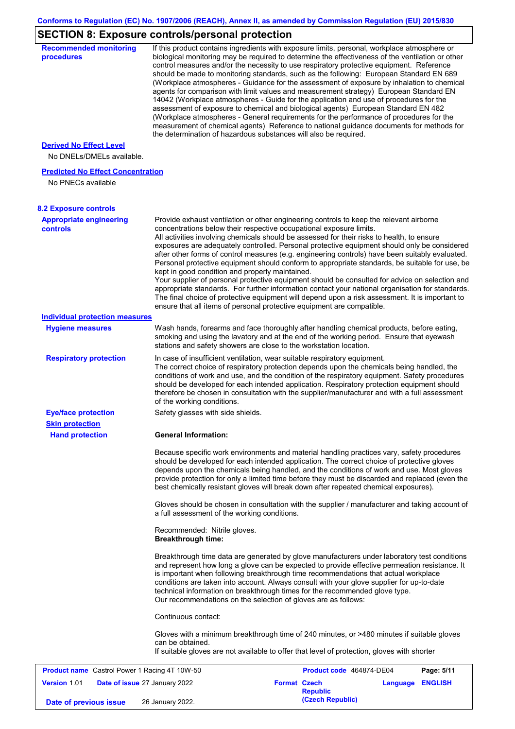# **SECTION 8: Exposure controls/personal protection**

| <b>Recommended monitoring</b><br>procedures                    |                                                                                                                                                                                                  | If this product contains ingredients with exposure limits, personal, workplace atmosphere or<br>biological monitoring may be required to determine the effectiveness of the ventilation or other<br>control measures and/or the necessity to use respiratory protective equipment. Reference<br>should be made to monitoring standards, such as the following: European Standard EN 689<br>(Workplace atmospheres - Guidance for the assessment of exposure by inhalation to chemical<br>agents for comparison with limit values and measurement strategy) European Standard EN<br>14042 (Workplace atmospheres - Guide for the application and use of procedures for the<br>assessment of exposure to chemical and biological agents) European Standard EN 482<br>(Workplace atmospheres - General requirements for the performance of procedures for the<br>measurement of chemical agents) Reference to national guidance documents for methods for |
|----------------------------------------------------------------|--------------------------------------------------------------------------------------------------------------------------------------------------------------------------------------------------|--------------------------------------------------------------------------------------------------------------------------------------------------------------------------------------------------------------------------------------------------------------------------------------------------------------------------------------------------------------------------------------------------------------------------------------------------------------------------------------------------------------------------------------------------------------------------------------------------------------------------------------------------------------------------------------------------------------------------------------------------------------------------------------------------------------------------------------------------------------------------------------------------------------------------------------------------------|
| <b>Derived No Effect Level</b>                                 | the determination of hazardous substances will also be required.                                                                                                                                 |                                                                                                                                                                                                                                                                                                                                                                                                                                                                                                                                                                                                                                                                                                                                                                                                                                                                                                                                                        |
| No DNELs/DMELs available.                                      |                                                                                                                                                                                                  |                                                                                                                                                                                                                                                                                                                                                                                                                                                                                                                                                                                                                                                                                                                                                                                                                                                                                                                                                        |
| <b>Predicted No Effect Concentration</b><br>No PNECs available |                                                                                                                                                                                                  |                                                                                                                                                                                                                                                                                                                                                                                                                                                                                                                                                                                                                                                                                                                                                                                                                                                                                                                                                        |
| <b>8.2 Exposure controls</b>                                   |                                                                                                                                                                                                  |                                                                                                                                                                                                                                                                                                                                                                                                                                                                                                                                                                                                                                                                                                                                                                                                                                                                                                                                                        |
| <b>Appropriate engineering</b><br><b>controls</b>              | concentrations below their respective occupational exposure limits.<br>kept in good condition and properly maintained.<br>ensure that all items of personal protective equipment are compatible. | Provide exhaust ventilation or other engineering controls to keep the relevant airborne<br>All activities involving chemicals should be assessed for their risks to health, to ensure<br>exposures are adequately controlled. Personal protective equipment should only be considered<br>after other forms of control measures (e.g. engineering controls) have been suitably evaluated.<br>Personal protective equipment should conform to appropriate standards, be suitable for use, be<br>Your supplier of personal protective equipment should be consulted for advice on selection and<br>appropriate standards. For further information contact your national organisation for standards.<br>The final choice of protective equipment will depend upon a risk assessment. It is important to                                                                                                                                                    |
| <b>Individual protection measures</b>                          |                                                                                                                                                                                                  |                                                                                                                                                                                                                                                                                                                                                                                                                                                                                                                                                                                                                                                                                                                                                                                                                                                                                                                                                        |
| <b>Hygiene measures</b>                                        | stations and safety showers are close to the workstation location.                                                                                                                               | Wash hands, forearms and face thoroughly after handling chemical products, before eating,<br>smoking and using the lavatory and at the end of the working period. Ensure that eyewash                                                                                                                                                                                                                                                                                                                                                                                                                                                                                                                                                                                                                                                                                                                                                                  |
| <b>Respiratory protection</b>                                  | In case of insufficient ventilation, wear suitable respiratory equipment.<br>of the working conditions.                                                                                          | The correct choice of respiratory protection depends upon the chemicals being handled, the<br>conditions of work and use, and the condition of the respiratory equipment. Safety procedures<br>should be developed for each intended application. Respiratory protection equipment should<br>therefore be chosen in consultation with the supplier/manufacturer and with a full assessment                                                                                                                                                                                                                                                                                                                                                                                                                                                                                                                                                             |
| <b>Eye/face protection</b><br><b>Skin protection</b>           | Safety glasses with side shields.                                                                                                                                                                |                                                                                                                                                                                                                                                                                                                                                                                                                                                                                                                                                                                                                                                                                                                                                                                                                                                                                                                                                        |
| <b>Hand protection</b>                                         | <b>General Information:</b>                                                                                                                                                                      |                                                                                                                                                                                                                                                                                                                                                                                                                                                                                                                                                                                                                                                                                                                                                                                                                                                                                                                                                        |
|                                                                |                                                                                                                                                                                                  | Because specific work environments and material handling practices vary, safety procedures<br>should be developed for each intended application. The correct choice of protective gloves<br>depends upon the chemicals being handled, and the conditions of work and use. Most gloves<br>provide protection for only a limited time before they must be discarded and replaced (even the<br>best chemically resistant gloves will break down after repeated chemical exposures).<br>Gloves should be chosen in consultation with the supplier / manufacturer and taking account of                                                                                                                                                                                                                                                                                                                                                                     |
|                                                                | a full assessment of the working conditions.                                                                                                                                                     |                                                                                                                                                                                                                                                                                                                                                                                                                                                                                                                                                                                                                                                                                                                                                                                                                                                                                                                                                        |
|                                                                | Recommended: Nitrile gloves.<br><b>Breakthrough time:</b>                                                                                                                                        |                                                                                                                                                                                                                                                                                                                                                                                                                                                                                                                                                                                                                                                                                                                                                                                                                                                                                                                                                        |
|                                                                | Our recommendations on the selection of gloves are as follows:                                                                                                                                   | Breakthrough time data are generated by glove manufacturers under laboratory test conditions<br>and represent how long a glove can be expected to provide effective permeation resistance. It<br>is important when following breakthrough time recommendations that actual workplace<br>conditions are taken into account. Always consult with your glove supplier for up-to-date<br>technical information on breakthrough times for the recommended glove type.                                                                                                                                                                                                                                                                                                                                                                                                                                                                                       |
|                                                                | Continuous contact:                                                                                                                                                                              |                                                                                                                                                                                                                                                                                                                                                                                                                                                                                                                                                                                                                                                                                                                                                                                                                                                                                                                                                        |
|                                                                | can be obtained.                                                                                                                                                                                 | Gloves with a minimum breakthrough time of 240 minutes, or >480 minutes if suitable gloves<br>If suitable gloves are not available to offer that level of protection, gloves with shorter                                                                                                                                                                                                                                                                                                                                                                                                                                                                                                                                                                                                                                                                                                                                                              |
| <b>Product name</b> Castrol Power 1 Racing 4T 10W-50           |                                                                                                                                                                                                  | Product code 464874-DE04<br>Page: 5/11                                                                                                                                                                                                                                                                                                                                                                                                                                                                                                                                                                                                                                                                                                                                                                                                                                                                                                                 |
| <b>Version 1.01</b><br>Date of issue 27 January 2022           |                                                                                                                                                                                                  | <b>Format Czech</b><br><b>ENGLISH</b><br>Language<br><b>Republic</b>                                                                                                                                                                                                                                                                                                                                                                                                                                                                                                                                                                                                                                                                                                                                                                                                                                                                                   |
| Date of previous issue                                         | 26 January 2022.                                                                                                                                                                                 | (Czech Republic)                                                                                                                                                                                                                                                                                                                                                                                                                                                                                                                                                                                                                                                                                                                                                                                                                                                                                                                                       |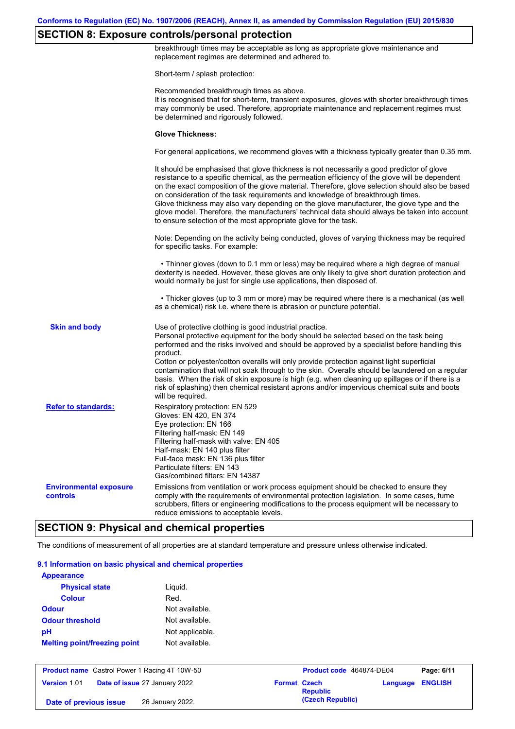## **SECTION 8: Exposure controls/personal protection**

breakthrough times may be acceptable as long as appropriate glove maintenance and replacement regimes are determined and adhered to. Short-term / splash protection: Recommended breakthrough times as above. It is recognised that for short-term, transient exposures, gloves with shorter breakthrough times may commonly be used. Therefore, appropriate maintenance and replacement regimes must be determined and rigorously followed. **Glove Thickness:** For general applications, we recommend gloves with a thickness typically greater than 0.35 mm. It should be emphasised that glove thickness is not necessarily a good predictor of glove resistance to a specific chemical, as the permeation efficiency of the glove will be dependent on the exact composition of the glove material. Therefore, glove selection should also be based on consideration of the task requirements and knowledge of breakthrough times. Glove thickness may also vary depending on the glove manufacturer, the glove type and the glove model. Therefore, the manufacturers' technical data should always be taken into account to ensure selection of the most appropriate glove for the task. Note: Depending on the activity being conducted, gloves of varying thickness may be required for specific tasks. For example: • Thinner gloves (down to 0.1 mm or less) may be required where a high degree of manual dexterity is needed. However, these gloves are only likely to give short duration protection and would normally be just for single use applications, then disposed of. • Thicker gloves (up to 3 mm or more) may be required where there is a mechanical (as well as a chemical) risk i.e. where there is abrasion or puncture potential. Use of protective clothing is good industrial practice. Personal protective equipment for the body should be selected based on the task being performed and the risks involved and should be approved by a specialist before handling this product. Cotton or polyester/cotton overalls will only provide protection against light superficial contamination that will not soak through to the skin. Overalls should be laundered on a regular basis. When the risk of skin exposure is high (e.g. when cleaning up spillages or if there is a risk of splashing) then chemical resistant aprons and/or impervious chemical suits and boots will be required. **Environmental exposure controls** Emissions from ventilation or work process equipment should be checked to ensure they comply with the requirements of environmental protection legislation. In some cases, fume scrubbers, filters or engineering modifications to the process equipment will be necessary to reduce emissions to acceptable levels. **Skin and body Refer to standards:** Respiratory protection: EN 529 Gloves: EN 420, EN 374 Eye protection: EN 166 Filtering half-mask: EN 149 Filtering half-mask with valve: EN 405 Half-mask: EN 140 plus filter Full-face mask: EN 136 plus filter Particulate filters: EN 143 Gas/combined filters: EN 14387

### **SECTION 9: Physical and chemical properties**

The conditions of measurement of all properties are at standard temperature and pressure unless otherwise indicated.

#### **9.1 Information on basic physical and chemical properties**

| <b>Appearance</b>                   |                 |
|-------------------------------------|-----------------|
| <b>Physical state</b>               | Liguid.         |
| <b>Colour</b>                       | Red.            |
| Odour                               | Not available.  |
| <b>Odour threshold</b>              | Not available.  |
| pН                                  | Not applicable. |
| <b>Melting point/freezing point</b> | Not available.  |
|                                     |                 |

|                        | <b>Product name</b> Castrol Power 1 Racing 4T 10W-50 |                     | Product code 464874-DE04 | Page: 6/11              |
|------------------------|------------------------------------------------------|---------------------|--------------------------|-------------------------|
| Version 1.01           | <b>Date of issue 27 January 2022</b>                 | <b>Format Czech</b> | <b>Republic</b>          | <b>Language ENGLISH</b> |
| Date of previous issue | 26 January 2022.                                     |                     | (Czech Republic)         |                         |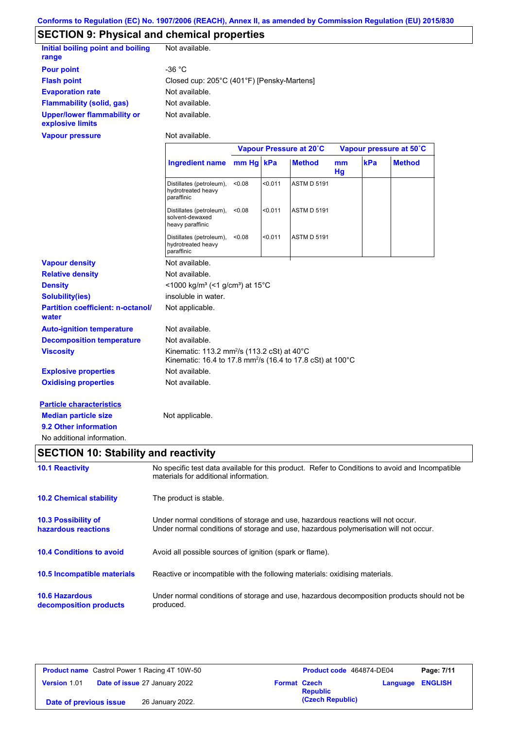# **SECTION 9: Physical and chemical properties**

| Initial boiling point and boiling<br>range      | Not available.                             |
|-------------------------------------------------|--------------------------------------------|
| <b>Pour point</b>                               | -36 $^{\circ}$ C                           |
| <b>Flash point</b>                              | Closed cup: 205°C (401°F) [Pensky-Martens] |
| <b>Evaporation rate</b>                         | Not available.                             |
| <b>Flammability (solid, gas)</b>                | Not available.                             |
| Upper/lower flammability or<br>explosive limits | Not available.                             |

Not available.

|                                                   |                                                                                                                                              |           |         | Vapour Pressure at 20°C |                 |     | Vapour pressure at 50°C |
|---------------------------------------------------|----------------------------------------------------------------------------------------------------------------------------------------------|-----------|---------|-------------------------|-----------------|-----|-------------------------|
|                                                   | <b>Ingredient name</b>                                                                                                                       | mm Hg kPa |         | <b>Method</b>           | mm<br><b>Hg</b> | kPa | <b>Method</b>           |
|                                                   | Distillates (petroleum),<br>hydrotreated heavy<br>paraffinic                                                                                 | < 0.08    | < 0.011 | <b>ASTM D 5191</b>      |                 |     |                         |
|                                                   | Distillates (petroleum),<br>solvent-dewaxed<br>heavy paraffinic                                                                              | < 0.08    | < 0.011 | <b>ASTM D 5191</b>      |                 |     |                         |
|                                                   | Distillates (petroleum),<br>hydrotreated heavy<br>paraffinic                                                                                 | < 0.08    | < 0.011 | <b>ASTM D 5191</b>      |                 |     |                         |
| <b>Vapour density</b>                             | Not available.                                                                                                                               |           |         |                         |                 |     |                         |
| <b>Relative density</b>                           | Not available.                                                                                                                               |           |         |                         |                 |     |                         |
| <b>Density</b>                                    | <1000 kg/m <sup>3</sup> (<1 g/cm <sup>3</sup> ) at 15 <sup>°</sup> C                                                                         |           |         |                         |                 |     |                         |
| <b>Solubility(ies)</b>                            | insoluble in water.                                                                                                                          |           |         |                         |                 |     |                         |
| <b>Partition coefficient: n-octanol/</b><br>water | Not applicable.                                                                                                                              |           |         |                         |                 |     |                         |
| <b>Auto-ignition temperature</b>                  | Not available.                                                                                                                               |           |         |                         |                 |     |                         |
| <b>Decomposition temperature</b>                  | Not available.                                                                                                                               |           |         |                         |                 |     |                         |
| <b>Viscosity</b>                                  | Kinematic: 113.2 mm <sup>2</sup> /s (113.2 cSt) at $40^{\circ}$ C<br>Kinematic: 16.4 to 17.8 mm <sup>2</sup> /s (16.4 to 17.8 cSt) at 100 °C |           |         |                         |                 |     |                         |
| <b>Explosive properties</b>                       | Not available.                                                                                                                               |           |         |                         |                 |     |                         |
| <b>Oxidising properties</b>                       | Not available.                                                                                                                               |           |         |                         |                 |     |                         |
| <b>Particle characteristics</b>                   |                                                                                                                                              |           |         |                         |                 |     |                         |
| <b>Median particle size</b>                       | Not applicable.                                                                                                                              |           |         |                         |                 |     |                         |
| 9.2 Other information                             |                                                                                                                                              |           |         |                         |                 |     |                         |

No additional information.

**Vapour pressure**

# **SECTION 10: Stability and reactivity**

| <b>10.1 Reactivity</b>                            | No specific test data available for this product. Refer to Conditions to avoid and Incompatible<br>materials for additional information.                                |
|---------------------------------------------------|-------------------------------------------------------------------------------------------------------------------------------------------------------------------------|
| <b>10.2 Chemical stability</b>                    | The product is stable.                                                                                                                                                  |
| <b>10.3 Possibility of</b><br>hazardous reactions | Under normal conditions of storage and use, hazardous reactions will not occur.<br>Under normal conditions of storage and use, hazardous polymerisation will not occur. |
| <b>10.4 Conditions to avoid</b>                   | Avoid all possible sources of ignition (spark or flame).                                                                                                                |
| 10.5 Incompatible materials                       | Reactive or incompatible with the following materials: oxidising materials.                                                                                             |
| <b>10.6 Hazardous</b><br>decomposition products   | Under normal conditions of storage and use, hazardous decomposition products should not be<br>produced.                                                                 |

| <b>Product name</b> Castrol Power 1 Racing 4T 10W-50 |                                      |                     | Product code 464874-DE04 |                         | Page: 7/11 |
|------------------------------------------------------|--------------------------------------|---------------------|--------------------------|-------------------------|------------|
| <b>Version 1.01</b>                                  | <b>Date of issue 27 January 2022</b> | <b>Format Czech</b> | <b>Republic</b>          | <b>Language ENGLISH</b> |            |
| Date of previous issue                               | 26 January 2022.                     |                     | (Czech Republic)         |                         |            |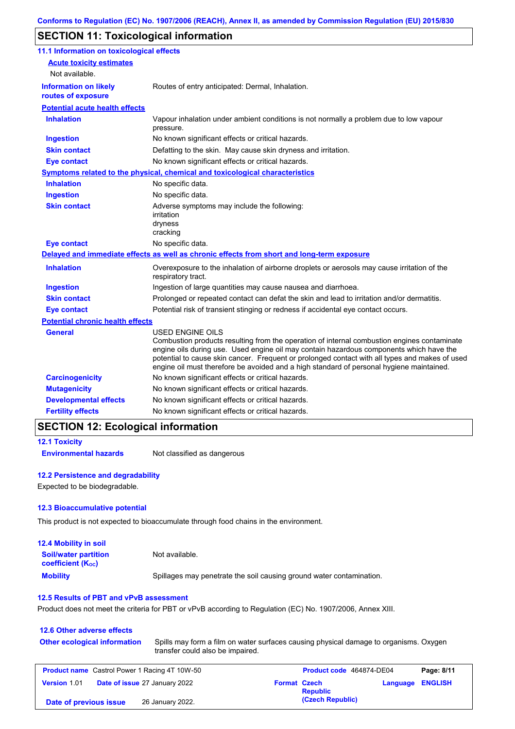# **SECTION 11: Toxicological information**

| 11.1 Information on toxicological effects          |                                                                                                                                                                                                                                                                                                                                                                                                          |
|----------------------------------------------------|----------------------------------------------------------------------------------------------------------------------------------------------------------------------------------------------------------------------------------------------------------------------------------------------------------------------------------------------------------------------------------------------------------|
| <b>Acute toxicity estimates</b>                    |                                                                                                                                                                                                                                                                                                                                                                                                          |
| Not available.                                     |                                                                                                                                                                                                                                                                                                                                                                                                          |
| <b>Information on likely</b><br>routes of exposure | Routes of entry anticipated: Dermal, Inhalation.                                                                                                                                                                                                                                                                                                                                                         |
| <b>Potential acute health effects</b>              |                                                                                                                                                                                                                                                                                                                                                                                                          |
| <b>Inhalation</b>                                  | Vapour inhalation under ambient conditions is not normally a problem due to low vapour<br>pressure.                                                                                                                                                                                                                                                                                                      |
| <b>Ingestion</b>                                   | No known significant effects or critical hazards.                                                                                                                                                                                                                                                                                                                                                        |
| <b>Skin contact</b>                                | Defatting to the skin. May cause skin dryness and irritation.                                                                                                                                                                                                                                                                                                                                            |
| <b>Eye contact</b>                                 | No known significant effects or critical hazards.                                                                                                                                                                                                                                                                                                                                                        |
|                                                    | Symptoms related to the physical, chemical and toxicological characteristics                                                                                                                                                                                                                                                                                                                             |
| <b>Inhalation</b>                                  | No specific data.                                                                                                                                                                                                                                                                                                                                                                                        |
| <b>Ingestion</b>                                   | No specific data.                                                                                                                                                                                                                                                                                                                                                                                        |
| <b>Skin contact</b>                                | Adverse symptoms may include the following:<br>irritation<br>dryness<br>cracking                                                                                                                                                                                                                                                                                                                         |
| <b>Eye contact</b>                                 | No specific data.                                                                                                                                                                                                                                                                                                                                                                                        |
|                                                    | Delayed and immediate effects as well as chronic effects from short and long-term exposure                                                                                                                                                                                                                                                                                                               |
| <b>Inhalation</b>                                  | Overexposure to the inhalation of airborne droplets or aerosols may cause irritation of the<br>respiratory tract.                                                                                                                                                                                                                                                                                        |
| <b>Ingestion</b>                                   | Ingestion of large quantities may cause nausea and diarrhoea.                                                                                                                                                                                                                                                                                                                                            |
| <b>Skin contact</b>                                | Prolonged or repeated contact can defat the skin and lead to irritation and/or dermatitis.                                                                                                                                                                                                                                                                                                               |
| <b>Eye contact</b>                                 | Potential risk of transient stinging or redness if accidental eye contact occurs.                                                                                                                                                                                                                                                                                                                        |
| <b>Potential chronic health effects</b>            |                                                                                                                                                                                                                                                                                                                                                                                                          |
| <b>General</b>                                     | USED ENGINE OILS<br>Combustion products resulting from the operation of internal combustion engines contaminate<br>engine oils during use. Used engine oil may contain hazardous components which have the<br>potential to cause skin cancer. Frequent or prolonged contact with all types and makes of used<br>engine oil must therefore be avoided and a high standard of personal hygiene maintained. |
| <b>Carcinogenicity</b>                             | No known significant effects or critical hazards.                                                                                                                                                                                                                                                                                                                                                        |
| <b>Mutagenicity</b>                                | No known significant effects or critical hazards.                                                                                                                                                                                                                                                                                                                                                        |
| <b>Developmental effects</b>                       | No known significant effects or critical hazards.                                                                                                                                                                                                                                                                                                                                                        |
| <b>Fertility effects</b>                           | No known significant effects or critical hazards.                                                                                                                                                                                                                                                                                                                                                        |

```
12.1 Toxicity
```
**Environmental hazards** Not classified as dangerous

### **12.2 Persistence and degradability**

Expected to be biodegradable.

### **12.3 Bioaccumulative potential**

This product is not expected to bioaccumulate through food chains in the environment.

| <b>12.4 Mobility in soil</b>                            |                                                                      |
|---------------------------------------------------------|----------------------------------------------------------------------|
| <b>Soil/water partition</b><br><b>coefficient (Koc)</b> | Not available.                                                       |
| <b>Mobility</b>                                         | Spillages may penetrate the soil causing ground water contamination. |

### **12.5 Results of PBT and vPvB assessment**

Product does not meet the criteria for PBT or vPvB according to Regulation (EC) No. 1907/2006, Annex XIII.

| 12.6 Other adverse effects<br><b>Other ecological information</b> | Spills may form a film on water surfaces causing physical damage to organisms. Oxygen<br>transfer could also be impaired. |                     |                          |          |                |
|-------------------------------------------------------------------|---------------------------------------------------------------------------------------------------------------------------|---------------------|--------------------------|----------|----------------|
| <b>Product name</b> Castrol Power 1 Racing 4T 10W-50              |                                                                                                                           |                     | Product code 464874-DE04 |          | Page: 8/11     |
| Date of issue 27 January 2022<br><b>Version 1.01</b>              |                                                                                                                           | <b>Format Czech</b> | <b>Republic</b>          | Language | <b>ENGLISH</b> |
| Date of previous issue                                            | 26 January 2022.                                                                                                          |                     | (Czech Republic)         |          |                |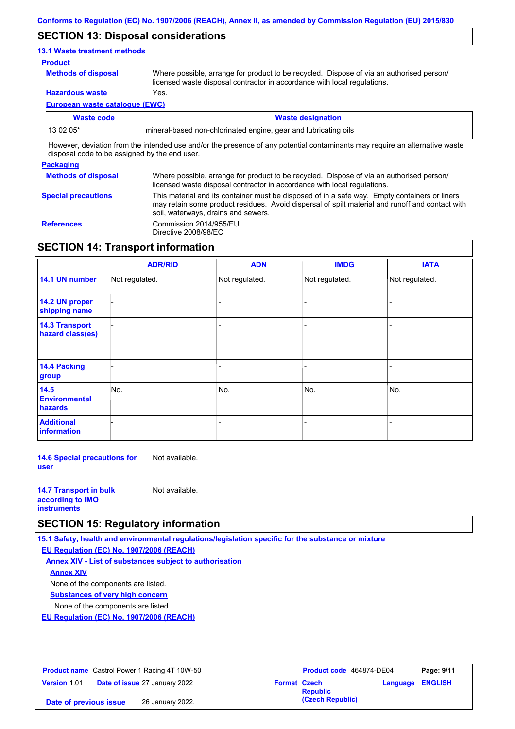### **SECTION 13: Disposal considerations**

### **13.1 Waste treatment methods**

### **Product**

**Methods of disposal**

Where possible, arrange for product to be recycled. Dispose of via an authorised person/ licensed waste disposal contractor in accordance with local regulations.

**Hazardous waste** Yes.

**European waste catalogue (EWC)**

| Waste code | <b>Waste designation</b>                                                                                                    |
|------------|-----------------------------------------------------------------------------------------------------------------------------|
| 13 02 05*  | mineral-based non-chlorinated engine, gear and lubricating oils                                                             |
|            | However, deviation from the intended use and/or the presence of any potential contaminants may require an alternative waste |

disposal code to be assigned by the end user.

# **Packaging Methods of disposal**

Where possible, arrange for product to be recycled. Dispose of via an authorised person/ licensed waste disposal contractor in accordance with local regulations. This material and its container must be disposed of in a safe way. Empty containers or liners may retain some product residues. Avoid dispersal of spilt material and runoff and contact with soil, waterways, drains and sewers.

**Special precautions**

**References** Commission 2014/955/EU Directive 2008/98/EC

## **SECTION 14: Transport information**

|                                           | <b>ADR/RID</b> | <b>ADN</b>     | <b>IMDG</b>    | <b>IATA</b>    |
|-------------------------------------------|----------------|----------------|----------------|----------------|
| 14.1 UN number                            | Not regulated. | Not regulated. | Not regulated. | Not regulated. |
| 14.2 UN proper<br>shipping name           |                |                |                |                |
| <b>14.3 Transport</b><br>hazard class(es) |                |                |                |                |
| 14.4 Packing<br>group                     |                |                |                |                |
| 14.5<br><b>Environmental</b><br>hazards   | No.            | No.            | No.            | No.            |
| <b>Additional</b><br>information          |                |                |                |                |

**14.6 Special precautions for user** Not available.

| <b>14.7 Transport in bulk</b> | Not available. |
|-------------------------------|----------------|
| according to <b>IMO</b>       |                |
| <b>instruments</b>            |                |

## **SECTION 15: Regulatory information**

**15.1 Safety, health and environmental regulations/legislation specific for the substance or mixture**

**EU Regulation (EC) No. 1907/2006 (REACH)**

**Annex XIV - List of substances subject to authorisation Substances of very high concern** None of the components are listed. None of the components are listed. **Annex XIV**

**EU Regulation (EC) No. 1907/2006 (REACH)**

| <b>Product name</b> Castrol Power 1 Racing 4T 10W-50 |                                      |                     | <b>Product code</b> 464874-DE04 |                  | Page: 9/11 |
|------------------------------------------------------|--------------------------------------|---------------------|---------------------------------|------------------|------------|
| Version 1.01                                         | <b>Date of issue 27 January 2022</b> | <b>Format Czech</b> | <b>Republic</b>                 | Language ENGLISH |            |
| Date of previous issue                               | 26 January 2022.                     |                     | (Czech Republic)                |                  |            |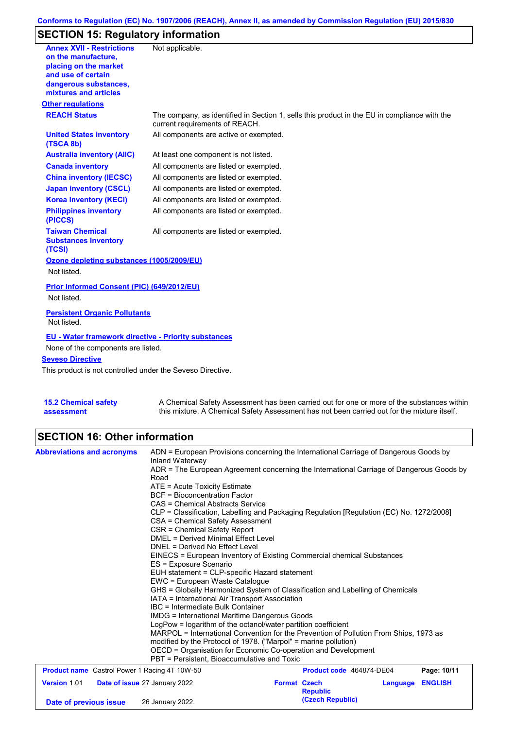## **Conforms to Regulation (EC) No. 1907/2006 (REACH), Annex II, as amended by Commission Regulation (EU) 2015/830**

# **SECTION 15: Regulatory information**

| <b>Annex XVII - Restrictions</b><br>on the manufacture.<br>placing on the market<br>and use of certain<br>dangerous substances,<br>mixtures and articles | Not applicable.                                                                                                                |
|----------------------------------------------------------------------------------------------------------------------------------------------------------|--------------------------------------------------------------------------------------------------------------------------------|
| <b>Other regulations</b>                                                                                                                                 |                                                                                                                                |
| <b>REACH Status</b>                                                                                                                                      | The company, as identified in Section 1, sells this product in the EU in compliance with the<br>current requirements of REACH. |
| <b>United States inventory</b><br>(TSCA 8b)                                                                                                              | All components are active or exempted.                                                                                         |
| <b>Australia inventory (AIIC)</b>                                                                                                                        | At least one component is not listed.                                                                                          |
| <b>Canada inventory</b>                                                                                                                                  | All components are listed or exempted.                                                                                         |
| <b>China inventory (IECSC)</b>                                                                                                                           | All components are listed or exempted.                                                                                         |
| <b>Japan inventory (CSCL)</b>                                                                                                                            | All components are listed or exempted.                                                                                         |
| <b>Korea inventory (KECI)</b>                                                                                                                            | All components are listed or exempted.                                                                                         |
| <b>Philippines inventory</b><br>(PICCS)                                                                                                                  | All components are listed or exempted.                                                                                         |
| <b>Taiwan Chemical</b><br><b>Substances Inventory</b><br>(TCSI)                                                                                          | All components are listed or exempted.                                                                                         |
| Ozone depleting substances (1005/2009/EU)<br>Not listed.                                                                                                 |                                                                                                                                |
| Prior Informed Consent (PIC) (649/2012/EU)<br>Not listed.                                                                                                |                                                                                                                                |
| <b>Persistent Organic Pollutants</b><br>Not listed.                                                                                                      |                                                                                                                                |
| <b>EU - Water framework directive - Priority substances</b><br>None of the components are listed.                                                        |                                                                                                                                |
| <b>Seveso Directive</b>                                                                                                                                  |                                                                                                                                |
| This product is not controlled under the Seveso Directive.                                                                                               |                                                                                                                                |
|                                                                                                                                                          |                                                                                                                                |

**15.2 Chemical safety assessment**

A Chemical Safety Assessment has been carried out for one or more of the substances within this mixture. A Chemical Safety Assessment has not been carried out for the mixture itself.

# **SECTION 16: Other information**

| <b>Abbreviations and acronyms</b>                    | ADN = European Provisions concerning the International Carriage of Dangerous Goods by    |                          |          |                |  |  |  |
|------------------------------------------------------|------------------------------------------------------------------------------------------|--------------------------|----------|----------------|--|--|--|
|                                                      | Inland Waterway                                                                          |                          |          |                |  |  |  |
|                                                      | ADR = The European Agreement concerning the International Carriage of Dangerous Goods by |                          |          |                |  |  |  |
|                                                      | Road                                                                                     |                          |          |                |  |  |  |
|                                                      | $ATE = Acute Toxicity Estimate$                                                          |                          |          |                |  |  |  |
|                                                      | <b>BCF</b> = Bioconcentration Factor                                                     |                          |          |                |  |  |  |
|                                                      | CAS = Chemical Abstracts Service                                                         |                          |          |                |  |  |  |
|                                                      | CLP = Classification, Labelling and Packaging Regulation [Regulation (EC) No. 1272/2008] |                          |          |                |  |  |  |
|                                                      | CSA = Chemical Safety Assessment                                                         |                          |          |                |  |  |  |
|                                                      | CSR = Chemical Safety Report                                                             |                          |          |                |  |  |  |
|                                                      | DMEL = Derived Minimal Effect Level                                                      |                          |          |                |  |  |  |
|                                                      | DNEL = Derived No Effect Level                                                           |                          |          |                |  |  |  |
|                                                      | EINECS = European Inventory of Existing Commercial chemical Substances                   |                          |          |                |  |  |  |
|                                                      | ES = Exposure Scenario                                                                   |                          |          |                |  |  |  |
|                                                      | EUH statement = CLP-specific Hazard statement                                            |                          |          |                |  |  |  |
|                                                      | EWC = European Waste Cataloque                                                           |                          |          |                |  |  |  |
|                                                      | GHS = Globally Harmonized System of Classification and Labelling of Chemicals            |                          |          |                |  |  |  |
|                                                      | IATA = International Air Transport Association                                           |                          |          |                |  |  |  |
|                                                      | IBC = Intermediate Bulk Container                                                        |                          |          |                |  |  |  |
|                                                      | <b>IMDG</b> = International Maritime Dangerous Goods                                     |                          |          |                |  |  |  |
|                                                      | LogPow = logarithm of the octanol/water partition coefficient                            |                          |          |                |  |  |  |
|                                                      | MARPOL = International Convention for the Prevention of Pollution From Ships, 1973 as    |                          |          |                |  |  |  |
|                                                      | modified by the Protocol of 1978. ("Marpol" = marine pollution)                          |                          |          |                |  |  |  |
|                                                      | OECD = Organisation for Economic Co-operation and Development                            |                          |          |                |  |  |  |
|                                                      | PBT = Persistent, Bioaccumulative and Toxic                                              |                          |          |                |  |  |  |
| <b>Product name</b> Castrol Power 1 Racing 4T 10W-50 |                                                                                          | Product code 464874-DE04 |          | Page: 10/11    |  |  |  |
| Version 1.01                                         | Date of issue 27 January 2022                                                            | <b>Format Czech</b>      | Language | <b>ENGLISH</b> |  |  |  |
|                                                      |                                                                                          | <b>Republic</b>          |          |                |  |  |  |
| Date of previous issue                               | 26 January 2022.                                                                         | (Czech Republic)         |          |                |  |  |  |